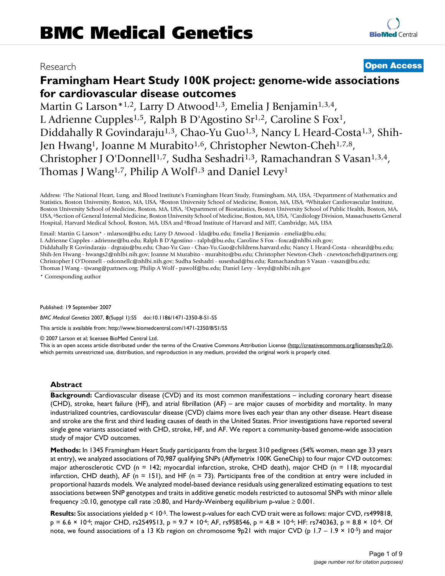# Research **[Open Access](http://www.biomedcentral.com/info/about/charter/)**

# **Framingham Heart Study 100K project: genome-wide associations for cardiovascular disease outcomes**

Martin G Larson<sup>\*1,2</sup>, Larry D Atwood<sup>1,3</sup>, Emelia J Benjamin<sup>1,3,4</sup>, L Adrienne Cupples1,5, Ralph B D'Agostino Sr1,2, Caroline S Fox1, Diddahally R Govindaraju<sup>1,3</sup>, Chao-Yu Guo<sup>1,3</sup>, Nancy L Heard-Costa<sup>1,3</sup>, Shih-Jen Hwang<sup>1</sup>, Joanne M Murabito<sup>1,6</sup>, Christopher Newton-Cheh<sup>1,7,8</sup>, Christopher J O'Donnell<sup>1,7</sup>, Sudha Seshadri<sup>1,3</sup>, Ramachandran S Vasan<sup>1,3,4</sup>, Thomas J Wang<sup>1,7</sup>, Philip A Wolf<sup>1,3</sup> and Daniel Levy<sup>1</sup>

Address: 1The National Heart, Lung, and Blood Institute's Framingham Heart Study, Framingham, MA, USA, 2Department of Mathematics and Statistics, Boston University, Boston, MA, USA, 3Boston University School of Medicine, Boston, MA, USA, 4Whitaker Cardiovascular Institute, Boston University School of Medicine, Boston, MA, USA, 5Department of Biostatistics, Boston University School of Public Health, Boston, MA, USA, 6Section of General Internal Medicine, Boston University School of Medicine, Boston, MA, USA, 7Cardiology Division, Massachusetts General Hospital, Harvard Medical School, Boston, MA, USA and 8Broad Institute of Harvard and MIT, Cambridge, MA, USA

Email: Martin G Larson\* - mlarson@bu.edu; Larry D Atwood - lda@bu.edu; Emelia J Benjamin - emelia@bu.edu; L Adrienne Cupples - adrienne@bu.edu; Ralph B D'Agostino - ralph@bu.edu; Caroline S Fox - foxca@nhlbi.nih.gov; Diddahally R Govindaraju - drgraju@bu.edu; Chao-Yu Guo - Chao-Yu.Guo@childrens.harvard.edu; Nancy L Heard-Costa - nheard@bu.edu; Shih-Jen Hwang - hwangs2@nhlbi.nih.gov; Joanne M Murabito - murabito@bu.edu; Christopher Newton-Cheh - cnewtoncheh@partners.org; Christopher J O'Donnell - odonnellc@nhlbi.nih.gov; Sudha Seshadri - suseshad@bu.edu; Ramachandran S Vasan - vasan@bu.edu; Thomas J Wang - tjwang@partners.org; Philip A Wolf - pawolf@bu.edu; Daniel Levy - levyd@nhlbi.nih.gov

\* Corresponding author

Published: 19 September 2007

*BMC Medical Genetics* 2007, **8**(Suppl 1):S5 doi:10.1186/1471-2350-8-S1-S5

[This article is available from: http://www.biomedcentral.com/1471-2350/8/S1/S5](http://www.biomedcentral.com/1471-2350/8/S1/S5)

© 2007 Larson et al; licensee BioMed Central Ltd.

This is an open access article distributed under the terms of the Creative Commons Attribution License [\(http://creativecommons.org/licenses/by/2.0\)](http://creativecommons.org/licenses/by/2.0), which permits unrestricted use, distribution, and reproduction in any medium, provided the original work is properly cited.

# **Abstract**

**Background:** Cardiovascular disease (CVD) and its most common manifestations – including coronary heart disease (CHD), stroke, heart failure (HF), and atrial fibrillation (AF) – are major causes of morbidity and mortality. In many industrialized countries, cardiovascular disease (CVD) claims more lives each year than any other disease. Heart disease and stroke are the first and third leading causes of death in the United States. Prior investigations have reported several single gene variants associated with CHD, stroke, HF, and AF. We report a community-based genome-wide association study of major CVD outcomes.

**Methods:** In 1345 Framingham Heart Study participants from the largest 310 pedigrees (54% women, mean age 33 years at entry), we analyzed associations of 70,987 qualifying SNPs (Affymetrix 100K GeneChip) to four major CVD outcomes: major atherosclerotic CVD (n = 142; myocardial infarction, stroke, CHD death), major CHD (n = 118; myocardial infarction, CHD death), AF ( $n = 151$ ), and HF ( $n = 73$ ). Participants free of the condition at entry were included in proportional hazards models. We analyzed model-based deviance residuals using generalized estimating equations to test associations between SNP genotypes and traits in additive genetic models restricted to autosomal SNPs with minor allele frequency ≥0.10, genotype call rate ≥0.80, and Hardy-Weinberg equilibrium p-value ≥ 0.001.

**Results:** Six associations yielded p < 10-5. The lowest p-values for each CVD trait were as follows: major CVD, rs499818, p = 6.6 × 10-6; major CHD, rs2549513, p = 9.7 × 10-6; AF, rs958546, p = 4.8 × 10-6; HF: rs740363, p = 8.8 × 10-6. Of note, we found associations of a 13 Kb region on chromosome 9p21 with major CVD (p 1.7 – 1.9 × 10<sup>-5</sup>) and major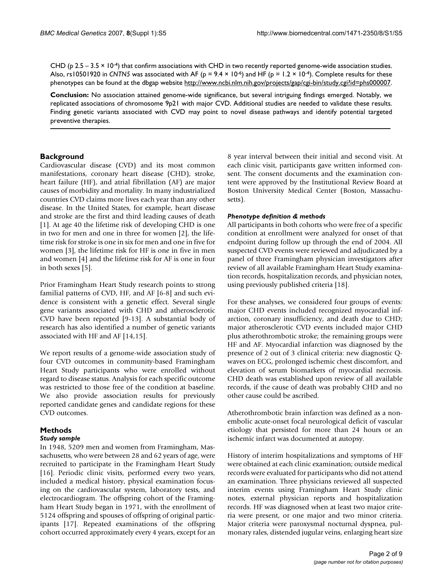CHD (p 2.5 – 3.5  $\times$  10<sup>-4</sup>) that confirm associations with CHD in two recently reported genome-wide association studies. Also, rs10501920 in *CNTN5* was associated with AF ( $p = 9.4 \times 10^{-6}$ ) and HF ( $p = 1.2 \times 10^{-4}$ ). Complete results for these phenotypes can be found at the dbgap website [http://www.ncbi.nlm.nih.gov/projects/gap/cgi-bin/study.cgi?id=phs000007.](http://www.ncbi.nlm.nih.gov/projects/gap/cgi-bin/study.cgi?id=phs000007)

**Conclusion:** No association attained genome-wide significance, but several intriguing findings emerged. Notably, we replicated associations of chromosome 9p21 with major CVD. Additional studies are needed to validate these results. Finding genetic variants associated with CVD may point to novel disease pathways and identify potential targeted preventive therapies.

# **Background**

Cardiovascular disease (CVD) and its most common manifestations, coronary heart disease (CHD), stroke, heart failure (HF), and atrial fibrillation (AF) are major causes of morbidity and mortality. In many industrialized countries CVD claims more lives each year than any other disease. In the United States, for example, heart disease and stroke are the first and third leading causes of death [1]. At age 40 the lifetime risk of developing CHD is one in two for men and one in three for women [2], the lifetime risk for stroke is one in six for men and one in five for women [3], the lifetime risk for HF is one in five in men and women [4] and the lifetime risk for AF is one in four in both sexes [5].

Prior Framingham Heart Study research points to strong familial patterns of CVD, HF, and AF [6-8] and such evidence is consistent with a genetic effect. Several single gene variants associated with CHD and atherosclerotic CVD have been reported [9-13]. A substantial body of research has also identified a number of genetic variants associated with HF and AF [14,15].

We report results of a genome-wide association study of four CVD outcomes in community-based Framingham Heart Study participants who were enrolled without regard to disease status. Analysis for each specific outcome was restricted to those free of the condition at baseline. We also provide association results for previously reported candidate genes and candidate regions for these CVD outcomes.

# **Methods**

#### *Study sample*

In 1948, 5209 men and women from Framingham, Massachusetts, who were between 28 and 62 years of age, were recruited to participate in the Framingham Heart Study [16]. Periodic clinic visits, performed every two years, included a medical history, physical examination focusing on the cardiovascular system, laboratory tests, and electrocardiogram. The offspring cohort of the Framingham Heart Study began in 1971, with the enrollment of 5124 offspring and spouses of offspring of original participants [17]. Repeated examinations of the offspring cohort occurred approximately every 4 years, except for an

8 year interval between their initial and second visit. At each clinic visit, participants gave written informed consent. The consent documents and the examination content were approved by the Institutional Review Board at Boston University Medical Center (Boston, Massachusetts).

## *Phenotype definition & methods*

All participants in both cohorts who were free of a specific condition at enrollment were analyzed for onset of that endpoint during follow up through the end of 2004. All suspected CVD events were reviewed and adjudicated by a panel of three Framingham physician investigators after review of all available Framingham Heart Study examination records, hospitalization records, and physician notes, using previously published criteria [18].

For these analyses, we considered four groups of events: major CHD events included recognized myocardial infarction, coronary insufficiency, and death due to CHD; major atherosclerotic CVD events included major CHD plus atherothrombotic stroke; the remaining groups were HF and AF. Myocardial infarction was diagnosed by the presence of 2 out of 3 clinical criteria: new diagnostic Qwaves on ECG, prolonged ischemic chest discomfort, and elevation of serum biomarkers of myocardial necrosis. CHD death was established upon review of all available records, if the cause of death was probably CHD and no other cause could be ascribed.

Atherothrombotic brain infarction was defined as a nonembolic acute-onset focal neurological deficit of vascular etiology that persisted for more than 24 hours or an ischemic infarct was documented at autopsy.

History of interim hospitalizations and symptoms of HF were obtained at each clinic examination; outside medical records were evaluated for participants who did not attend an examination. Three physicians reviewed all suspected interim events using Framingham Heart Study clinic notes, external physician reports and hospitalization records. HF was diagnosed when at least two major criteria were present, or one major and two minor criteria. Major criteria were paroxysmal nocturnal dyspnea, pulmonary rales, distended jugular veins, enlarging heart size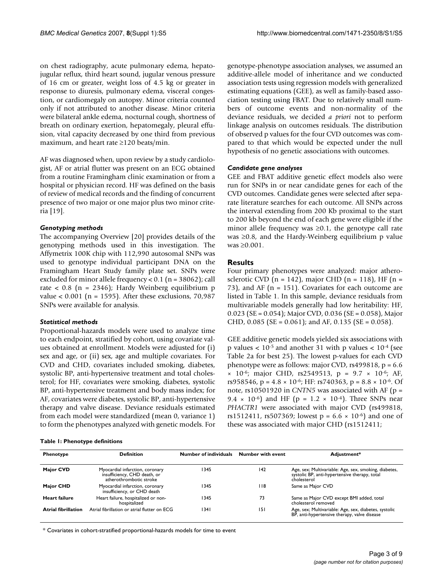on chest radiography, acute pulmonary edema, hepatojugular reflux, third heart sound, jugular venous pressure of 16 cm or greater, weight loss of 4.5 kg or greater in response to diuresis, pulmonary edema, visceral congestion, or cardiomegaly on autopsy. Minor criteria counted only if not attributed to another disease. Minor criteria were bilateral ankle edema, nocturnal cough, shortness of breath on ordinary exertion, hepatomegaly, pleural effusion, vital capacity decreased by one third from previous maximum, and heart rate ≥120 beats/min.

AF was diagnosed when, upon review by a study cardiologist, AF or atrial flutter was present on an ECG obtained from a routine Framingham clinic examination or from a hospital or physician record. HF was defined on the basis of review of medical records and the finding of concurrent presence of two major or one major plus two minor criteria [19].

# *Genotyping methods*

The accompanying Overview [20] provides details of the genotyping methods used in this investigation. The Affymetrix 100K chip with 112,990 autosomal SNPs was used to genotype individual participant DNA on the Framingham Heart Study family plate set. SNPs were excluded for minor allele frequency  $< 0.1$  (n = 38062); call rate  $< 0.8$  (n = 2346); Hardy Weinberg equilibrium p value  $< 0.001$  (n = 1595). After these exclusions, 70,987 SNPs were available for analysis.

# *Statistical methods*

Proportional-hazards models were used to analyze time to each endpoint, stratified by cohort, using covariate values obtained at enrollment. Models were adjusted for (i) sex and age, or (ii) sex, age and multiple covariates. For CVD and CHD, covariates included smoking, diabetes, systolic BP, anti-hypertensive treatment and total cholesterol; for HF, covariates were smoking, diabetes, systolic BP, anti-hypertensive treatment and body mass index; for AF, covariates were diabetes, systolic BP, anti-hypertensive therapy and valve disease. Deviance residuals estimated from each model were standardized (mean 0, variance 1) to form the phenotypes analyzed with genetic models. For genotype-phenotype association analyses, we assumed an additive-allele model of inheritance and we conducted association tests using regression models with generalized estimating equations (GEE), as well as family-based association testing using FBAT. Due to relatively small numbers of outcome events and non-normality of the deviance residuals, we decided *a priori* not to perform linkage analysis on outcomes residuals. The distribution of observed p values for the four CVD outcomes was compared to that which would be expected under the null hypothesis of no genetic associations with outcomes.

# *Candidate gene analyses*

GEE and FBAT additive genetic effect models also were run for SNPs in or near candidate genes for each of the CVD outcomes. Candidate genes were selected after separate literature searches for each outcome. All SNPs across the interval extending from 200 Kb proximal to the start to 200 kb beyond the end of each gene were eligible if the minor allele frequency was  $\geq 0.1$ , the genotype call rate was ≥0.8, and the Hardy-Weinberg equilibrium p value was ≥0.001.

# **Results**

Four primary phenotypes were analyzed: major atherosclerotic CVD ( $n = 142$ ), major CHD ( $n = 118$ ), HF ( $n =$ 73), and AF (n = 151). Covariates for each outcome are listed in Table 1. In this sample, deviance residuals from multivariable models generally had low heritability: HF, 0.023 (SE = 0.054); Major CVD, 0.036 (SE = 0.058), Major CHD,  $0.085$  (SE = 0.061); and AF,  $0.135$  (SE = 0.058).

GEE additive genetic models yielded six associations with p values < 10-5 and another 31 with p values < 10-4 (see Table 2a for best 25). The lowest p-values for each CVD phenotype were as follows: major CVD, rs499818, p = 6.6  $\times$  10<sup>-6</sup>; major CHD, rs2549513, p = 9.7  $\times$  10<sup>-6</sup>; AF, rs958546, p =  $4.8 \times 10^{-6}$ ; HF: rs740363, p =  $8.8 \times 10^{-6}$ . Of note, rs10501920 in *CNTN5* was associated with AF (p = 9.4  $\times$  10<sup>-6</sup>) and HF (p = 1.2  $\times$  10<sup>-4</sup>). Three SNPs near *PHACTR1* were associated with major CVD (rs499818, rs1512411, rs507369; lowest  $p = 6.6 \times 10^{-6}$  and one of these was associated with major CHD (rs1512411;

## **Table 1: Phenotype definitions**

| Phenotype                  | <b>Definition</b>                                                                          | Number of individuals | Number with event | Adjustment*                                                                                                           |
|----------------------------|--------------------------------------------------------------------------------------------|-----------------------|-------------------|-----------------------------------------------------------------------------------------------------------------------|
| Major CVD                  | Myocardial infarction, coronary<br>insufficiency, CHD death, or<br>atherothrombotic stroke | 1345                  | 142               | Age, sex; Multivariable: Age, sex, smoking, diabetes,<br>systolic BP, anti-hypertensive therapy, total<br>cholesterol |
| Major CHD                  | Myocardial infarction, coronary<br>insufficiency, or CHD death                             | 1345                  | 118               | Same as Major CVD                                                                                                     |
| <b>Heart failure</b>       | Heart failure, hospitalized or non-<br>hospitalized                                        | 1345                  | 73                | Same as Major CVD except BMI added, total<br>cholesterol removed                                                      |
| <b>Atrial fibrillation</b> | Atrial fibrillation or atrial flutter on ECG                                               | 1341                  | 151               | Age, sex; Multivariable: Age, sex, diabetes, systolic BP, anti-hypertensive therapy, valve disease                    |

\* Covariates in cohort-stratified proportional-hazards models for time to event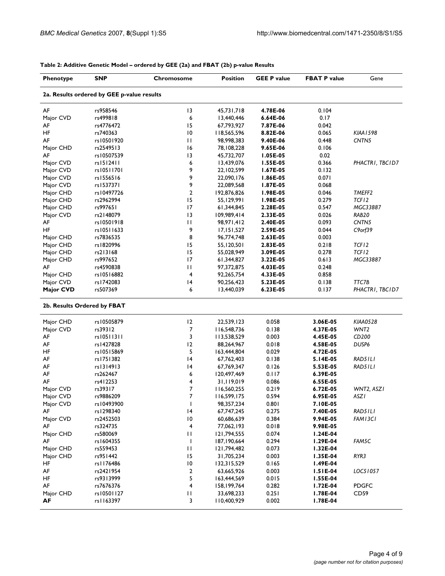| Phenotype                                  | <b>SNP</b>  | Chromosome                                                       | <b>Position</b>           | <b>GEE P value</b> | <b>FBAT P value</b> | Gene                |
|--------------------------------------------|-------------|------------------------------------------------------------------|---------------------------|--------------------|---------------------|---------------------|
| 2a. Results ordered by GEE p-value results |             |                                                                  |                           |                    |                     |                     |
| AF                                         | rs958546    | 13                                                               | 45,731,718                | 4.78E-06           | 0.104               |                     |
| Major CVD                                  | rs499818    | 6                                                                | 13,440,446                | 6.64E-06           | 0.17                |                     |
| AF                                         | rs4776472   | 15                                                               | 67,793,927                | 7.87E-06           | 0.042               |                     |
| <b>HF</b>                                  | rs740363    | 0                                                                | 118,565,596               | 8.82E-06           | 0.065               | KIAA1598            |
| AF                                         | rs10501920  | П                                                                | 98,998,383                | 9.40E-06           | 0.448               | CNTN <sub>5</sub>   |
| Major CHD                                  | rs2549513   | 16                                                               | 78,108,228                | 9.65E-06           | 0.106               |                     |
| AF                                         | rs10507539  | 13                                                               | 45,732,707                | I.05E-05           | 0.02                |                     |
| Major CVD                                  | rs1512411   | 6                                                                | 13,439,076                | I.55E-05           | 0.366               | PHACTRI, TBCID7     |
| Major CVD                                  | rs10511701  | 9                                                                | 22,102,599                | I.67E-05           | 0.132               |                     |
| Major CVD                                  | rs1556516   | 9                                                                | 22,090,176                | I.86E-05           | 0.071               |                     |
| Major CVD                                  | rs1537371   | 9                                                                | 22,089,568                | I.87E-05           | 0.068               |                     |
| Major CHD                                  | rs10497726  | $\overline{2}$                                                   | 192,876,826               | <b>I.98E-05</b>    | 0.046               | TMEFF2              |
| Major CHD                                  | rs2962994   | 15                                                               | 55,129,991                | <b>I.98E-05</b>    | 0.279               | TCF12               |
| Major CHD                                  | rs997651    | 17                                                               | 61,344,845                | 2.28E-05           | 0.547               | MGC33887            |
| Major CVD                                  | rs2148079   | 3                                                                | 109,989,414               | 2.33E-05           | 0.026               | RAB20               |
| AF                                         | rs10501918  | $\mathbf{H}$                                                     | 98,971,412                | 2.40E-05           | 0.093               | CNTN <sub>5</sub>   |
| <b>HF</b>                                  | rs10511633  | 9                                                                | 17,151,527                | 2.59E-05           | 0.044               | $C9$ orf $39$       |
| Major CHD                                  | rs7836535   | 8                                                                | 96,774,748                | 2.63E-05           | 0.003               |                     |
| Major CHD                                  | rs1820996   | 15                                                               | 55,120,501                | 2.83E-05           | 0.218               | TCF12               |
| Major CHD                                  | rs213168    | 15                                                               | 55,028,949                | 3.09E-05           | 0.278               | TCF12               |
| Major CHD                                  | rs997652    | 17                                                               | 61,344,827                | 3.22E-05           | 0.613               | MGC33887            |
| AF                                         | rs4590838   | П                                                                | 97,372,875                | 4.03E-05           | 0.248               |                     |
| Major CHD                                  | rs10516882  | $\overline{4}$                                                   | 92,265,754                | 4.33E-05           | 0.858               |                     |
| Major CVD                                  | rs1742083   | 4                                                                | 90,256,423                | 5.23E-05           | 0.138               | TTC7B               |
| <b>Major CVD</b>                           | rs507369    | 6                                                                | 13,440,039                | 6.23E-05           | 0.137               | PHACTRI, TBCID7     |
|                                            |             |                                                                  |                           |                    |                     |                     |
| 2b. Results Ordered by FBAT                |             |                                                                  |                           |                    |                     |                     |
| Major CHD                                  | rs10505879  | 12                                                               | 22,539,123                | 0.058              | 3.06E-05            | <b>KIAA0528</b>     |
| Major CVD                                  | rs39312     | 7                                                                | 116,548,736               | 0.138              | 4.37E-05            | WNT <sub>2</sub>    |
| AF                                         | rs10511311  | 3                                                                | 113,538,529               | 0.003              | 4.45E-05            | CD200               |
| AF                                         | rs1427828   | 12                                                               | 88,264,967                | 0.018              | 4.58E-05            | DUSP6               |
| <b>HF</b>                                  | rs10515869  | 5                                                                | 163,444,804               | 0.029              | 4.72E-05            |                     |
| AF                                         | rs1751382   | 4                                                                | 67,762,403                | 0.138              | 5.14E-05            | RAD5 <sub>ILI</sub> |
| AF                                         | rs1314913   | 4                                                                | 67,769,347                | 0.126              | 5.53E-05            | RAD51L1             |
| AF                                         | rs262467    | 6                                                                | 120,497,469               | 0.117              | 6.39E-05            |                     |
| AF                                         | rs412253    | 4                                                                | 31,119,019                | 0.086              | 6.55E-05            |                     |
| Major CVD                                  | rs39317     | 7                                                                | 116,560,255               | 0.219              | 6.72E-05            | WNT2, ASZ I         |
| Major CVD                                  | rs9886209   | 7                                                                | 116,599,175               | 0.594              | 6.95E-05            | ASZI                |
| Major CVD                                  | rs10493900  | T                                                                | 98,357,234                | 0.801              | 7.10E-05            |                     |
| AF                                         | rs1298340   | 4                                                                | 67,747,245                | 0.275              | 7.40E-05            | RAD5 ILI            |
| Major CVD                                  | rs2452503   | $\,$ l $\,$                                                      | 60,686,639                | 0.384              | 9.94E-05            | FAM13C1             |
| AF                                         | rs324735    | 4                                                                | 77,062,193                | 0.018              | 9.98E-05            |                     |
| Major CHD                                  | rs580069    | $\mathbf{H}$                                                     | 121,794,555               | 0.074              | I.24E-04            |                     |
| AF                                         | rs1604355   | $\mathbf{I}$                                                     | 187,190,664               | 0.294              | I.29E-04            | FAM5C               |
| Major CHD                                  | rs559453    | $\mathsf{H}% _{T}=\mathsf{H}_{T}\left( \mathcal{M}_{T}\right) ,$ | 121,794,482               | 0.073              | I.32E-04            |                     |
| Major CHD                                  | rs951442    | 15                                                               | 31,705,234                | 0.003              | I.35E-04            | RYR3                |
| HF                                         | rs I 176486 | $\overline{10}$                                                  | 132,315,529               | 0.165              | <b>I.49E-04</b>     |                     |
| AF                                         | rs2421954   | $\overline{\mathbf{c}}$                                          | 63,665,926                | 0.003              | $1.51E-04$          | LOC51057            |
| HF                                         | rs9313999   | 5                                                                | 163,444,569               | 0.015              | I.55E-04            |                     |
| AF                                         | rs7676376   | 4                                                                | 158, 199, 764             | 0.282              | I.72E-04            | <b>PDGFC</b>        |
|                                            | rs10501127  | $\mathbf{H}$                                                     |                           |                    |                     | CD <sub>59</sub>    |
| Major CHD<br>AF                            |             | 3                                                                | 33,698,233<br>110,400,929 | 0.251<br>0.002     | I.78E-04            |                     |
|                                            | rs   163397 |                                                                  |                           |                    | I.78E-04            |                     |

# **Table 2: Additive Genetic Model – ordered by GEE (2a) and FBAT (2b) p-value Results**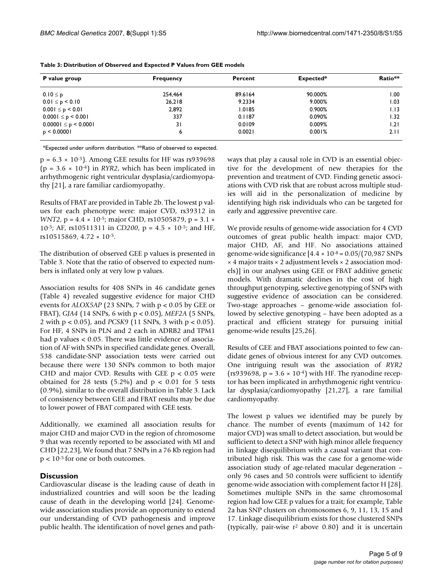| P value group                | <b>Frequency</b> | Percent | Expected* | Ratio** |
|------------------------------|------------------|---------|-----------|---------|
| $0.10 \leq p$                | 254,464          | 89.6164 | 90.000%   | 00.1    |
| $0.01 \le p \le 0.10$        | 26,218           | 9.2334  | 9.000%    | 1.03    |
| $0.001 \le p \le 0.01$       | 2,892            | 1.0185  | 0.900%    | I.I3    |
| $0.0001 \leq p \leq 0.001$   | 337              | 0.1187  | 0.090%    | 1.32    |
| $0.00001 \leq p \leq 0.0001$ | 31               | 0.0109  | 0.009%    | 1.21    |
| $p \leq 0.00001$             | 6                | 0.0021  | 0.001%    | 2.11    |

**Table 3: Distribution of Observed and Expected P Values from GEE models**

\*Expected under uniform distribution. \*\*Ratio of observed to expected.

 $p = 6.3 \times 10^{-5}$ . Among GEE results for HF was rs939698  $(p = 3.6 \times 10^{-4})$  in *RYR2*, which has been implicated in arrhythmogenic right ventricular dysplasia/cardiomyopathy [21], a rare familiar cardiomyopathy.

Results of FBAT are provided in Table 2b. The lowest p values for each phenotype were: major CVD, rs39312 in *WNT2*,  $p = 4.4 \times 10^{-5}$ ; major CHD, rs10505879,  $p = 3.1 \times 10^{-5}$ 10-5; AF, rs10511311 in *CD200*, p = 4.5 × 10-5; and HF,  $rs10515869, 4.72 \times 10^{-5}$ .

The distribution of observed GEE p values is presented in Table 3. Note that the ratio of observed to expected numbers is inflated only at very low p values.

Association results for 408 SNPs in 46 candidate genes (Table 4) revealed suggestive evidence for major CHD events for *ALOX5AP* (23 SNPs, 7 with p < 0.05 by GEE or FBAT), *GJA4* (14 SNPs, 6 with p < 0.05), *MEF2A* (5 SNPs, 2 with p < 0.05), and *PCSK9* (11 SNPs, 3 with p < 0.05). For HF, 4 SNPs in PLN and 2 each in ADRB2 and TPM1 had p values < 0.05. There was little evidence of association of AF with SNPs in specified candidate genes. Overall, 538 candidate-SNP association tests were carried out because there were 130 SNPs common to both major CHD and major CVD. Results with GEE  $p < 0.05$  were obtained for 28 tests  $(5.2\%)$  and  $p < 0.01$  for 5 tests (0.9%), similar to the overall distribution in Table 3. Lack of consistency between GEE and FBAT results may be due to lower power of FBAT compared with GEE tests.

Additionally, we examined all association results for major CHD and major CVD in the region of chromosome 9 that was recently reported to be associated with MI and CHD [22,23], We found that 7 SNPs in a 76 Kb region had p < 10-5 for one or both outcomes.

## **Discussion**

Cardiovascular disease is the leading cause of death in industrialized countries and will soon be the leading cause of death in the developing world [24]. Genomewide association studies provide an opportunity to extend our understanding of CVD pathogenesis and improve public health. The identification of novel genes and pathways that play a causal role in CVD is an essential objective for the development of new therapies for the prevention and treatment of CVD. Finding genetic associations with CVD risk that are robust across multiple studies will aid in the personalization of medicine by identifying high risk individuals who can be targeted for early and aggressive preventive care.

We provide results of genome-wide association for 4 CVD outcomes of great public health impact: major CVD, major CHD, AF, and HF. No associations attained genome-wide significance  $[4.4 \times 10^{-8} = 0.05/(70.987$  SNPs × 4 major traits × 2 adjustment levels × 2 association models)] in our analyses using GEE or FBAT additive genetic models. With dramatic declines in the cost of high throughput genotyping, selective genotyping of SNPs with suggestive evidence of association can be considered. Two-stage approaches – genome-wide association followed by selective genotyping – have been adopted as a practical and efficient strategy for pursuing initial genome-wide results [25,26].

Results of GEE and FBAT associations pointed to few candidate genes of obvious interest for any CVD outcomes. One intriguing result was the association of *RYR2* (rs939698,  $p = 3.6 \times 10^{-4}$ ) with HF. The ryanodine receptor has been implicated in arrhythmogenic right ventricular dysplasia/cardiomyopathy [21,27], a rare familial cardiomyopathy.

The lowest p values we identified may be purely by chance. The number of events (maximum of 142 for major CVD) was small to detect association, but would be sufficient to detect a SNP with high minor allele frequency in linkage disequilibrium with a causal variant that contributed high risk. This was the case for a genome-wide association study of age-related macular degeneration – only 96 cases and 50 controls were sufficient to identify genome-wide association with complement factor H [28]. Sometimes multiple SNPs in the same chromosomal region had low GEE p values for a trait; for example, Table 2a has SNP clusters on chromosomes 6, 9, 11, 13, 15 and 17. Linkage disequilibrium exists for those clustered SNPs (typically, pair-wise r2 above 0.80) and it is uncertain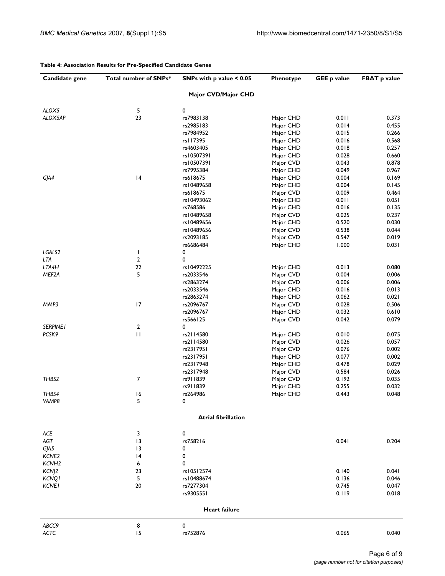| Candidate gene    | Total number of SNPs* | SNPs with $p$ value $< 0.05$ | Phenotype | <b>GEE</b> p value | <b>FBAT</b> p value |
|-------------------|-----------------------|------------------------------|-----------|--------------------|---------------------|
|                   |                       | Major CVD/Major CHD          |           |                    |                     |
| ALOX5             | 5                     | 0                            |           |                    |                     |
| ALOX5AP           | 23                    | rs7983138                    | Major CHD | 0.011              | 0.373               |
|                   |                       | rs2985183                    | Major CHD | 0.014              | 0.455               |
|                   |                       | rs7984952                    | Major CHD | 0.015              | 0.266               |
|                   |                       | rs117395                     | Major CHD | 0.016              | 0.568               |
|                   |                       | rs4603405                    | Major CHD | 0.018              | 0.257               |
|                   |                       | rs 10507391                  | Major CHD | 0.028              | 0.660               |
|                   |                       |                              |           |                    |                     |
|                   |                       | rs10507391                   | Major CVD | 0.043              | 0.878               |
|                   |                       | rs7995384                    | Major CHD | 0.049              | 0.967               |
| GJA4              | 4                     | rs618675                     | Major CHD | 0.004              | 0.169               |
|                   |                       | rs10489658                   | Major CHD | 0.004              | 0.145               |
|                   |                       | rs618675                     | Major CVD | 0.009              | 0.464               |
|                   |                       | rs10493062                   | Major CHD | 0.011              | 0.051               |
|                   |                       | rs768586                     | Major CHD | 0.016              | 0.135               |
|                   |                       | rs10489658                   | Major CVD | 0.025              | 0.237               |
|                   |                       | rs10489656                   | Major CHD | 0.520              | 0.030               |
|                   |                       | rs10489656                   | Major CVD | 0.538              | 0.044               |
|                   |                       | rs2093185                    | Major CVD | 0.547              | 0.019               |
|                   |                       | rs6686484                    | Major CHD | 1.000              | 0.031               |
| LGALS2            | T                     | 0                            |           |                    |                     |
| LTA               | $\overline{2}$        | 0                            |           |                    |                     |
| LTA4H             | 22                    | rs10492225                   | Major CHD | 0.013              | 0.080               |
| MEF2A             | 5                     | rs2033546                    | Major CVD | 0.004              | 0.006               |
|                   |                       | rs2863274                    | Major CVD | 0.006              | 0.006               |
|                   |                       | rs2033546                    | Major CHD | 0.016              | 0.013               |
|                   |                       | rs2863274                    | Major CHD | 0.062              | 0.021               |
| MMP3              | 17                    | rs2096767                    | Major CVD | 0.028              | 0.506               |
|                   |                       | rs2096767                    | Major CHD | 0.032              | 0.610               |
|                   |                       |                              |           |                    |                     |
|                   |                       | rs566125                     | Major CVD | 0.042              | 0.079               |
| <b>SERPINE I</b>  | 2                     | 0                            |           |                    |                     |
| PCSK9             | $\mathbf{H}$          | rs2114580                    | Major CHD | 0.010              | 0.075               |
|                   |                       | rs2114580                    | Major CVD | 0.026              | 0.057               |
|                   |                       | rs2317951                    | Major CVD | 0.076              | 0.002               |
|                   |                       | rs2317951                    | Major CHD | 0.077              | 0.002               |
|                   |                       | rs2317948                    | Major CHD | 0.478              | 0.029               |
|                   |                       | rs2317948                    | Major CVD | 0.584              | 0.026               |
| THBS2             | 7                     | rs911839                     | Major CVD | 0.192              | 0.035               |
|                   |                       | rs911839                     | Major CHD | 0.255              | 0.032               |
| THBS4             | 16                    | rs264986                     | Major CHD | 0.443              | 0.048               |
| VAMP8             | 5                     | 0                            |           |                    |                     |
|                   |                       | <b>Atrial fibrillation</b>   |           |                    |                     |
| ACE               | 3                     | 0                            |           |                    |                     |
| AGT               | 13                    | rs758216                     |           | 0.041              | 0.204               |
| GJA5              | 13                    | 0                            |           |                    |                     |
| KCNE2             | 4                     | 0                            |           |                    |                     |
| KCNH <sub>2</sub> | 6                     | 0                            |           |                    |                     |
| KCNJ2             | 23                    | rs10512574                   |           | 0.140              | 0.041               |
| <b>KCNQ1</b>      | 5                     | rs10488674                   |           | 0.136              | 0.046               |
| <b>KCNE1</b>      | 20                    | rs7277304                    |           | 0.745              | 0.047               |
|                   |                       | rs9305551                    |           | 0.119              | 0.018               |
|                   |                       | <b>Heart failure</b>         |           |                    |                     |
|                   |                       |                              |           |                    |                     |
| ABCC9             | 8                     | 0                            |           |                    |                     |
| ACTC              | 15                    | rs752876                     |           | 0.065              | 0.040               |

#### **Table 4: Association Results for Pre-Specified Candidate Genes**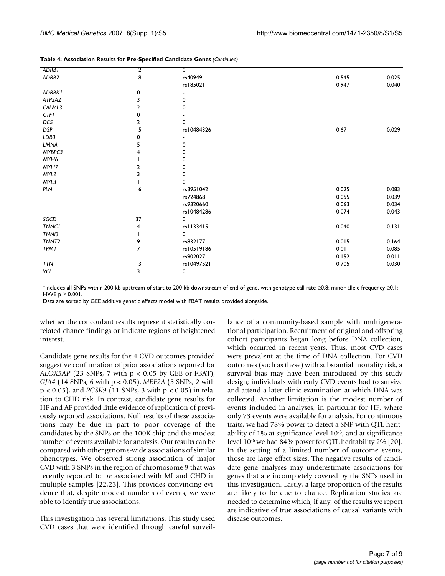| <b>ADRBI</b>      | 12             | $\overline{0}$ |       |       |
|-------------------|----------------|----------------|-------|-------|
| ADRB <sub>2</sub> | 8              | rs40949        | 0.545 | 0.025 |
|                   |                | rs185021       | 0.947 | 0.040 |
| ADRBK1            | 0              |                |       |       |
| ATP2A2            | 3              | 0              |       |       |
| CALML3            | 2              | 0              |       |       |
| <b>CTFI</b>       | 0              |                |       |       |
| DES               | $\overline{2}$ | 0              |       |       |
| DSP               | 15             | rs10484326     | 0.671 | 0.029 |
| LDB3              | 0              |                |       |       |
| LMNA              | 5              | 0              |       |       |
| MYBPC3            | 4              | 0              |       |       |
| MYH6              |                | 0              |       |       |
| MYH7              | 2              | 0              |       |       |
| MYL2              | 3              | 0              |       |       |
| MYL3              |                | 0              |       |       |
| PLN               | 16             | rs3951042      | 0.025 | 0.083 |
|                   |                | rs724868       | 0.055 | 0.039 |
|                   |                | rs9320660      | 0.063 | 0.034 |
|                   |                | rs10484286     | 0.074 | 0.043 |
| SGCD              | 37             | 0              |       |       |
| <b>TNNCI</b>      | 4              | rs1133415      | 0.040 | 0.131 |
| TNNI3             | T              | 0              |       |       |
| TNNT <sub>2</sub> | 9              | rs832177       | 0.015 | 0.164 |
| <b>TPMI</b>       | $\overline{7}$ | rs10519186     | 0.011 | 0.085 |
|                   |                | rs902027       | 0.152 | 0.011 |
| <b>TTN</b>        | 13             | rs10497521     | 0.705 | 0.030 |
| VCL               | 3              | 0              |       |       |

| Table 4: Association Results for Pre-Specified Candidate Genes (Continued) |  |  |
|----------------------------------------------------------------------------|--|--|
|----------------------------------------------------------------------------|--|--|

\*Includes all SNPs within 200 kb upstream of start to 200 kb downstream of end of gene, with genotype call rate ≥0.8; minor allele frequency ≥0.1; HWE  $p \geq 0.001$ .

Data are sorted by GEE additive genetic effects model with FBAT results provided alongside.

whether the concordant results represent statistically correlated chance findings or indicate regions of heightened interest.

Candidate gene results for the 4 CVD outcomes provided suggestive confirmation of prior associations reported for *ALOX5AP* (23 SNPs, 7 with  $p < 0.05$  by GEE or FBAT), *GJA4* (14 SNPs, 6 with p < 0.05), *MEF2A* (5 SNPs, 2 with p < 0.05), and *PCSK9* (11 SNPs, 3 with p < 0.05) in relation to CHD risk. In contrast, candidate gene results for HF and AF provided little evidence of replication of previously reported associations. Null results of these associations may be due in part to poor coverage of the candidates by the SNPs on the 100K chip and the modest number of events available for analysis. Our results can be compared with other genome-wide associations of similar phenotypes. We observed strong association of major CVD with 3 SNPs in the region of chromosome 9 that was recently reported to be associated with MI and CHD in multiple samples [22,23]. This provides convincing evidence that, despite modest numbers of events, we were able to identify true associations.

This investigation has several limitations. This study used CVD cases that were identified through careful surveillance of a community-based sample with multigenerational participation. Recruitment of original and offspring cohort participants began long before DNA collection, which occurred in recent years. Thus, most CVD cases were prevalent at the time of DNA collection. For CVD outcomes (such as these) with substantial mortality risk, a survival bias may have been introduced by this study design; individuals with early CVD events had to survive and attend a later clinic examination at which DNA was collected. Another limitation is the modest number of events included in analyses, in particular for HF, where only 73 events were available for analysis. For continuous traits, we had 78% power to detect a SNP with QTL heritability of 1% at significance level 10-3, and at significance level 10-6 we had 84% power for QTL heritability 2% [20]. In the setting of a limited number of outcome events, those are large effect sizes. The negative results of candidate gene analyses may underestimate associations for genes that are incompletely covered by the SNPs used in this investigation. Lastly, a large proportion of the results are likely to be due to chance. Replication studies are needed to determine which, if any, of the results we report are indicative of true associations of causal variants with disease outcomes.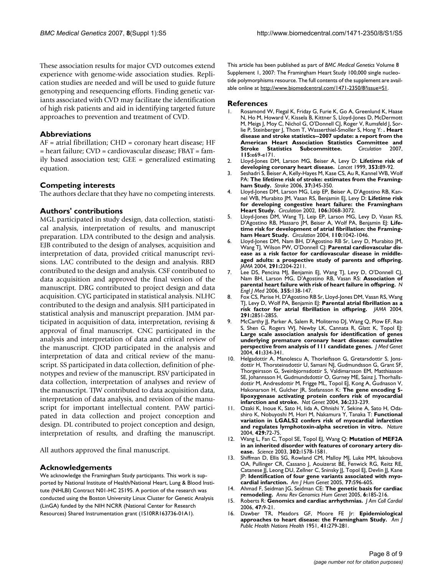These association results for major CVD outcomes extend experience with genome-wide association studies. Replication studies are needed and will be used to guide future genotyping and resequencing efforts. Finding genetic variants associated with CVD may facilitate the identification of high risk patients and aid in identifying targeted future approaches to prevention and treatment of CVD.

# **Abbreviations**

AF = atrial fibrillation; CHD = coronary heart disease; HF = heart failure; CVD = cardiovascular disease; FBAT = family based association test; GEE = generalized estimating equation.

## **Competing interests**

The authors declare that they have no competing interests.

## **Authors' contributions**

MGL participated in study design, data collection, statistical analysis, interpretation of results, and manuscript preparation. LDA contributed to the design and analysis. EJB contributed to the design of analyses, acquisition and interpretation of data, provided critical manuscript revisions. LAC contributed to the design and analysis. RBD contributed to the design and analysis. CSF contributed to data acquisition and approved the final version of the manuscript. DRG contributed to project design and data acquisition. CYG participated in statistical analysis. NLHC contributed to the design and analysis. SJH participated in statistical analysis and manuscript preparation. JMM participated in acquisition of data, interpretation, revising & approval of final manuscript. CNC participated in the analysis and interpretation of data and critical review of the manuscript. CJOD participated in the analysis and interpretation of data and critical review of the manuscript. SS participated in data collection, definition of phenotypes and review of the manuscript. RSV participated in data collection, interpretation of analyses and review of the manuscript. TJW contributed to data acquisition data, interpretation of data analysis, and revision of the manuscript for important intellectual content. PAW participated in data collection and project conception and design. DL contributed to project conception and design, interpretation of results, and drafting the manuscript.

All authors approved the final manuscript.

#### **Acknowledgements**

We acknowledge the Framingham Study participants. This work is supported by National Institute of Health/National Heart, Lung & Blood Institute (NHLBI) Contract N01-HC 25195. A portion of the research was conducted using the Boston University Linux Cluster for Genetic Analysis (LinGA) funded by the NIH NCRR (National Center for Research Resources) Shared Instrumentation grant (1S10RR163736-01A1).

This article has been published as part of *BMC Medical Genetics* Volume 8 Supplement 1, 2007: The Framingham Heart Study 100,000 single nucleotide polymorphisms resource. The full contents of the supplement are available online at <http://www.biomedcentral.com/1471-2350/8?issue=S1>.

#### **References**

- 1. Rosamond W, Flegal K, Friday G, Furie K, Go A, Greenlund K, Haase N, Ho M, Howard V, Kissela B, Kittner S, Lloyd-Jones D, McDermott M, Meigs J, Moy C, Nichol G, O'Donnell CJ, Roger V, Rumsfeld J, Sorlie P, Steinberger J, Thom T, Wasserthiel-Smoller S, Hong Y: **[. Heart](http://www.ncbi.nlm.nih.gov/entrez/query.fcgi?cmd=Retrieve&db=PubMed&dopt=Abstract&list_uids=17194875) [disease and stroke statistics--2007 update: a report from the](http://www.ncbi.nlm.nih.gov/entrez/query.fcgi?cmd=Retrieve&db=PubMed&dopt=Abstract&list_uids=17194875) American Heart Association Statistics Committee and [Stroke Statistics Subcommittee.](http://www.ncbi.nlm.nih.gov/entrez/query.fcgi?cmd=Retrieve&db=PubMed&dopt=Abstract&list_uids=17194875)** *Circulation* 2007, **115:**e69-e171.
- 2. Lloyd-Jones DM, Larson MG, Beiser A, Levy D: **[Lifetime risk of](http://www.ncbi.nlm.nih.gov/entrez/query.fcgi?cmd=Retrieve&db=PubMed&dopt=Abstract&list_uids=10023892) [developing coronary heart disease.](http://www.ncbi.nlm.nih.gov/entrez/query.fcgi?cmd=Retrieve&db=PubMed&dopt=Abstract&list_uids=10023892)** *Lancet* 1999, **353:**89-92.
- 3. Seshadri S, Beiser A, Kelly-Hayes M, Kase CS, Au R, Kannel WB, Wolf PA: **[The lifetime risk of stroke: estimates from the Framing](http://www.ncbi.nlm.nih.gov/entrez/query.fcgi?cmd=Retrieve&db=PubMed&dopt=Abstract&list_uids=16397184)[ham Study.](http://www.ncbi.nlm.nih.gov/entrez/query.fcgi?cmd=Retrieve&db=PubMed&dopt=Abstract&list_uids=16397184)** *Stroke* 2006, **37:**345-350.
- 4. Lloyd-Jones DM, Larson MG, Leip EP, Beiser A, D'Agostino RB, Kannel WB, Murabito JM, Vasan RS, Benjamin EJ, Levy D: **[Lifetime risk](http://www.ncbi.nlm.nih.gov/entrez/query.fcgi?cmd=Retrieve&db=PubMed&dopt=Abstract&list_uids=12473553) [for developing congestive heart failure: the Framingham](http://www.ncbi.nlm.nih.gov/entrez/query.fcgi?cmd=Retrieve&db=PubMed&dopt=Abstract&list_uids=12473553) [Heart Study.](http://www.ncbi.nlm.nih.gov/entrez/query.fcgi?cmd=Retrieve&db=PubMed&dopt=Abstract&list_uids=12473553)** *Circulation* 2002, **106:**3068-3072.
- 5. Lloyd-Jones DM, Wang TJ, Leip EP, Larson MG, Levy D, Vasan RS, D'Agostino RB, Massaro JM, Beiser A, Wolf PA, Benjamin EJ: **[Life](http://www.ncbi.nlm.nih.gov/entrez/query.fcgi?cmd=Retrieve&db=PubMed&dopt=Abstract&list_uids=15313941)[time risk for development of atrial fibrillation: the Framing](http://www.ncbi.nlm.nih.gov/entrez/query.fcgi?cmd=Retrieve&db=PubMed&dopt=Abstract&list_uids=15313941)[ham Heart Study.](http://www.ncbi.nlm.nih.gov/entrez/query.fcgi?cmd=Retrieve&db=PubMed&dopt=Abstract&list_uids=15313941)** *Circulation* 2004, **110:**1042-1046.
- 6. Lloyd-Jones DM, Nam BH, D'Agostino RB Sr, Levy D, Murabito JM, Wang TJ, Wilson PW, O'Donnell CJ: **[Parental cardiovascular dis](http://www.ncbi.nlm.nih.gov/entrez/query.fcgi?cmd=Retrieve&db=PubMed&dopt=Abstract&list_uids=15138242)[ease as a risk factor for cardiovascular disease in middle](http://www.ncbi.nlm.nih.gov/entrez/query.fcgi?cmd=Retrieve&db=PubMed&dopt=Abstract&list_uids=15138242)aged adults: a prospective study of parents and offspring.** *JAMA* 2004, **291:**2204-2211.
- Lee DS, Pencina MJ, Benjamin EJ, Wang TJ, Levy D, O'Donnell CJ, Nam BH, Larson MG, D'Agostino RB, Vasan RS: **[Association of](http://www.ncbi.nlm.nih.gov/entrez/query.fcgi?cmd=Retrieve&db=PubMed&dopt=Abstract&list_uids=16837677) [parental heart failure with risk of heart failure in offspring.](http://www.ncbi.nlm.nih.gov/entrez/query.fcgi?cmd=Retrieve&db=PubMed&dopt=Abstract&list_uids=16837677)** *N Engl J Med* 2006, **355:**138-147.
- 8. Fox CS, Parise H, D'Agostino RB Sr, Lloyd-Jones DM, Vasan RS, Wang TJ, Levy D, Wolf PA, Benjamin EJ: **[Parental atrial fibrillation as a](http://www.ncbi.nlm.nih.gov/entrez/query.fcgi?cmd=Retrieve&db=PubMed&dopt=Abstract&list_uids=15199036) [risk factor for atrial fibrillation in offspring.](http://www.ncbi.nlm.nih.gov/entrez/query.fcgi?cmd=Retrieve&db=PubMed&dopt=Abstract&list_uids=15199036)** *JAMA* 2004, **291:**2851-2855.
- 9. McCarthy JJ, Parker A, Salem R, Moliterno DJ, Wang Q, Plow EF, Rao S, Shen G, Rogers WJ, Newby LK, Cannata R, Glatt K, Topol EJ: **[Large scale association analysis for identification of genes](http://www.ncbi.nlm.nih.gov/entrez/query.fcgi?cmd=Retrieve&db=PubMed&dopt=Abstract&list_uids=15121769) underlying premature coronary heart disease: cumulative [perspective from analysis of 111 candidate genes.](http://www.ncbi.nlm.nih.gov/entrez/query.fcgi?cmd=Retrieve&db=PubMed&dopt=Abstract&list_uids=15121769)** *J Med Genet* 2004, **41:**334-341.
- 10. Helgadottir A, Manolescu A, Thorleifsson G, Gretarsdottir S, Jonsdottir H, Thorsteinsdottir U, Samani NJ, Gudmundsson G, Grant SF, Thorgeirsson G, Sveinbjornsdottir S, Valdimarsson EM, Matthiasson SE, Johannsson H, Gudmundsdottir O, Gurney ME, Sainz J, Thorhallsdottir M, Andresdottir M, Frigge ML, Topol EJ, Kong A, Gudnason V, Hakonarson H, Gulcher JR, Stefansson K: **[The gene encoding 5](http://www.ncbi.nlm.nih.gov/entrez/query.fcgi?cmd=Retrieve&db=PubMed&dopt=Abstract&list_uids=14770184) [lipoxygenase activating protein confers risk of myocardial](http://www.ncbi.nlm.nih.gov/entrez/query.fcgi?cmd=Retrieve&db=PubMed&dopt=Abstract&list_uids=14770184) [infarction and stroke.](http://www.ncbi.nlm.nih.gov/entrez/query.fcgi?cmd=Retrieve&db=PubMed&dopt=Abstract&list_uids=14770184)** *Nat Genet* 2004, **36:**233-239.
- 11. Ozaki K, Inoue K, Sato H, Iida A, Ohnishi Y, Sekine A, Sato H, Odashiro K, Nobuyoshi M, Hori M, Nakamura Y, Tanaka T: **[Functional](http://www.ncbi.nlm.nih.gov/entrez/query.fcgi?cmd=Retrieve&db=PubMed&dopt=Abstract&list_uids=15129282) [variation in LGALS2 confers risk of myocardial infarction](http://www.ncbi.nlm.nih.gov/entrez/query.fcgi?cmd=Retrieve&db=PubMed&dopt=Abstract&list_uids=15129282) [and regulates lymphotoxin-alpha secretion in vitro.](http://www.ncbi.nlm.nih.gov/entrez/query.fcgi?cmd=Retrieve&db=PubMed&dopt=Abstract&list_uids=15129282)** *Nature* 2004, **429:**72-75.
- 12. Wang L, Fan C, Topol SE, Topol EJ, Wang Q: **[Mutation of MEF2A](http://www.ncbi.nlm.nih.gov/entrez/query.fcgi?cmd=Retrieve&db=PubMed&dopt=Abstract&list_uids=14645853) [in an inherited disorder with features of coronary artery dis](http://www.ncbi.nlm.nih.gov/entrez/query.fcgi?cmd=Retrieve&db=PubMed&dopt=Abstract&list_uids=14645853)[ease.](http://www.ncbi.nlm.nih.gov/entrez/query.fcgi?cmd=Retrieve&db=PubMed&dopt=Abstract&list_uids=14645853)** *Science* 2003, **302:**1578-1581.
- 13. Shiffman D, Ellis SG, Rowland CM, Malloy MJ, Luke MM, Iakoubova OA, Pullinger CR, Cassano J, Aouizerat BE, Fenwick RG, Reitz RE, Catanese JJ, Leong DU, Zellner C, Sninsky JJ, Topol EJ, Devlin JJ, Kane JP: **[Identification of four gene variants associated with myo](http://www.ncbi.nlm.nih.gov/entrez/query.fcgi?cmd=Retrieve&db=PubMed&dopt=Abstract&list_uids=16175505)[cardial infarction.](http://www.ncbi.nlm.nih.gov/entrez/query.fcgi?cmd=Retrieve&db=PubMed&dopt=Abstract&list_uids=16175505)** *Am J Hum Genet* 2005, **77:**596-605.
- 14. Ahmad F, Seidman JG, Seidman CE: **[The genetic basis for cardiac](http://www.ncbi.nlm.nih.gov/entrez/query.fcgi?cmd=Retrieve&db=PubMed&dopt=Abstract&list_uids=16124859) [remodeling.](http://www.ncbi.nlm.nih.gov/entrez/query.fcgi?cmd=Retrieve&db=PubMed&dopt=Abstract&list_uids=16124859)** *Annu Rev Genomics Hum Genet* 2005, **6:**185-216.
- 15. Roberts R: **[Genomics and cardiac arrhythmias.](http://www.ncbi.nlm.nih.gov/entrez/query.fcgi?cmd=Retrieve&db=PubMed&dopt=Abstract&list_uids=16386658)** *J Am Coll Cardiol* 2006, **47:**9-21.
- 16. Dawber TR, Meadors GF, Moore FE Jr: **[Epidemiological](http://www.ncbi.nlm.nih.gov/entrez/query.fcgi?cmd=Retrieve&db=PubMed&dopt=Abstract&list_uids=14819398) [approaches to heart disease: the Framingham Study.](http://www.ncbi.nlm.nih.gov/entrez/query.fcgi?cmd=Retrieve&db=PubMed&dopt=Abstract&list_uids=14819398)** *Am J Public Health Nations Health* 1951, **41:**279-281.